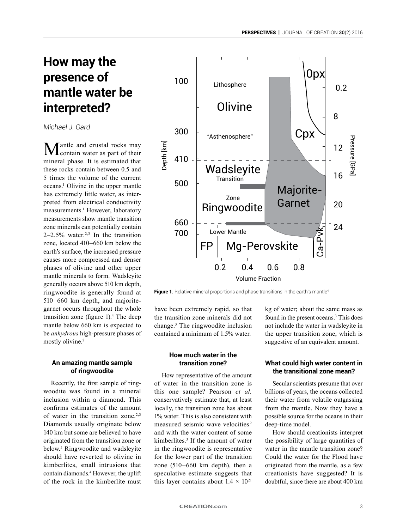# **How may the presence of mantle water be interpreted?**

*Michael J. Oard*

 $M$ antle and crustal rocks may<br>contain water as part of their mineral phase. It is estimated that these rocks contain between 0.5 and 5 times the volume of the current oceans.1 Olivine in the upper mantle has extremely little water, as interpreted from electrical conductivity measurements.<sup>1</sup> However, laboratory measurements show mantle transition zone minerals can potentially contain  $2-2.5\%$  water.<sup>2,3</sup> In the transition zone, located 410–660 km below the earth's surface, the increased pressure causes more compressed and denser phases of olivine and other upper mantle minerals to form. Wadsleyite generally occurs above 510 km depth, ringwoodite is generally found at 510–660 km depth, and majoritegarnet occurs throughout the whole transition zone (figure 1).<sup>4</sup> The deep mantle below 660 km is expected to be *anhydrous* high-pressure phases of mostly olivine.<sup>2</sup>

## **An amazing mantle sample of ringwoodite**

Recently, the first sample of ringwoodite was found in a mineral inclusion within a diamond. This confirms estimates of the amount of water in the transition zone.<sup>2,3</sup> Diamonds usually originate below 140 km but some are believed to have originated from the transition zone or below.5 Ringwoodite and wadsleyite should have reverted to olivine in kimberlites, small intrusions that contain diamonds.4 However, the uplift of the rock in the kimberlite must



Figure 1. Relative mineral proportions and phase transitions in the earth's mantle<sup>4</sup>

have been extremely rapid, so that the transition zone minerals did not change.3 The ringwoodite inclusion contained a minimum of 1.5% water.

### **How much water in the transition zone?**

How representative of the amount of water in the transition zone is this one sample? Pearson *et al.* conservatively estimate that, at least locally, the transition zone has about 1% water. This is also consistent with measured seismic wave velocities<sup>2</sup> and with the water content of some kimberlites.3 If the amount of water in the ringwoodite is representative for the lower part of the transition zone (510–660 km depth), then a speculative estimate suggests that this layer contains about  $1.4 \times 10^{21}$ 

kg of water; about the same mass as found in the present oceans.3 This does not include the water in wadsleyite in the upper transition zone, which is suggestive of an equivalent amount.

### **What could high water content in the transitional zone mean?**

Secular scientists presume that over billions of years, the oceans collected their water from volatile outgassing from the mantle. Now they have a possible source for the oceans in their deep-time model.

How should creationists interpret the possibility of large quantities of water in the mantle transition zone? Could the water for the Flood have originated from the mantle, as a few creationists have suggested? It is doubtful, since there are about 400 km